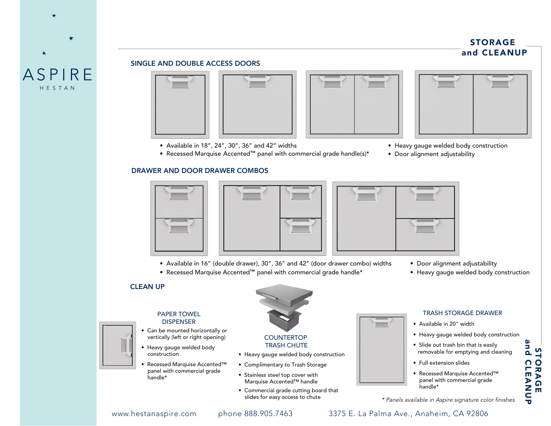# STORAGE and CLEANUP

## SINGLE AND DOUBLE ACCESS DOORS





- Available in 18", 24", 30", 36" and 42" widths
- Recessed Marquise Accented™ panel with commercial grade handle(s)\*

### DRAWER AND DOOR DRAWER COMBOS





- Available in 16" (double drawer), 30", 36" and 42" (door drawer combo) widths
- Recessed Marquise Accented™ panel with commercial grade handle\*
- Door alignment adjustability
- Heavy gauge welded body construction

# CLEAN UP



**ASPIRE** HESTAN

- Recessed Marquise Accented™ panel with commercial grade handle\*
- Commercial grade cutting board that Marquise Accented™ handle
- slides for easy access to chute



### **COUNTERTOP** TRASH CHUTE

- Heavy gauge welded body construction
- Complimentary to Trash Storage
- Stainless steel top cover with







### • Available in 20" width

- Heavy gauge welded body construction
- Slide out trash bin that is easily removable for emptying and cleaning
- Full extension slides
- Recessed Marquise Accented™ panel with commercial grade handle\*

*\* Panels available in Aspire signature color finishes*

# www.hestanaspire.com phone 888.905.7463 3375 E. La Palma Ave., Anaheim, CA 92806